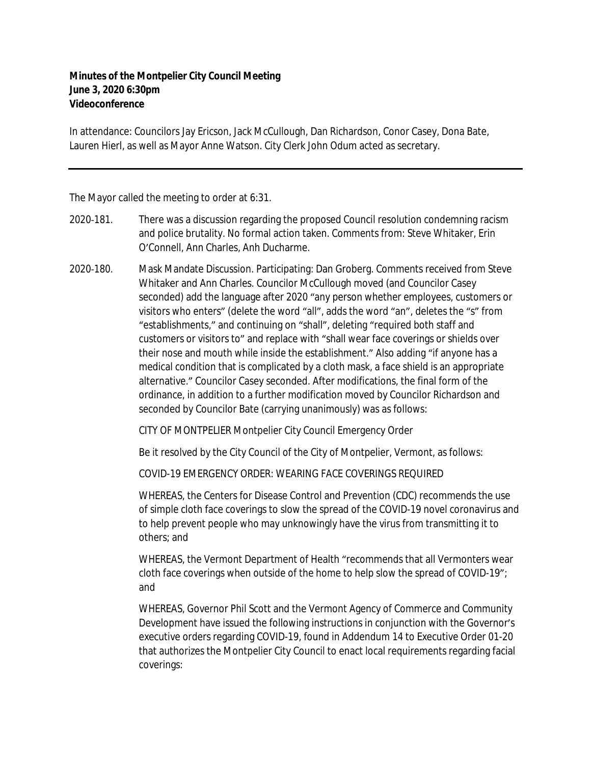## **Minutes of the Montpelier City Council Meeting June 3, 2020 6:30pm Videoconference**

In attendance: Councilors Jay Ericson, Jack McCullough, Dan Richardson, Conor Casey, Dona Bate, Lauren Hierl, as well as Mayor Anne Watson. City Clerk John Odum acted as secretary.

The Mayor called the meeting to order at 6:31.

- 2020‐181. There was a discussion regarding the proposed Council resolution condemning racism and police brutality. No formal action taken. Comments from: Steve Whitaker, Erin O'Connell, Ann Charles, Anh Ducharme.
- 2020‐180. Mask Mandate Discussion. Participating: Dan Groberg. Comments received from Steve Whitaker and Ann Charles. Councilor McCullough moved (and Councilor Casey seconded) add the language after 2020 "any person whether employees, customers or visitors who enters" (delete the word "all", adds the word "an", deletes the "s" from "establishments," and continuing on "shall", deleting "required both staff and customers or visitors to" and replace with "shall wear face coverings or shields over their nose and mouth while inside the establishment." Also adding "if anyone has a medical condition that is complicated by a cloth mask, a face shield is an appropriate alternative." Councilor Casey seconded. After modifications, the final form of the ordinance, in addition to a further modification moved by Councilor Richardson and seconded by Councilor Bate (carrying unanimously) was as follows:

CITY OF MONTPELIER Montpelier City Council Emergency Order

Be it resolved by the City Council of the City of Montpelier, Vermont, as follows:

COVID-19 EMERGENCY ORDER: WEARING FACE COVERINGS REQUIRED

WHEREAS, the Centers for Disease Control and Prevention (CDC) recommends the use of simple cloth face coverings to slow the spread of the COVID-19 novel coronavirus and to help prevent people who may unknowingly have the virus from transmitting it to others; and

WHEREAS, the Vermont Department of Health "recommends that all Vermonters wear cloth face coverings when outside of the home to help slow the spread of COVID-19"; and

WHEREAS, Governor Phil Scott and the Vermont Agency of Commerce and Community Development have issued the following instructions in conjunction with the Governor's executive orders regarding COVID-19, found in Addendum 14 to Executive Order 01-20 that authorizes the Montpelier City Council to enact local requirements regarding facial coverings: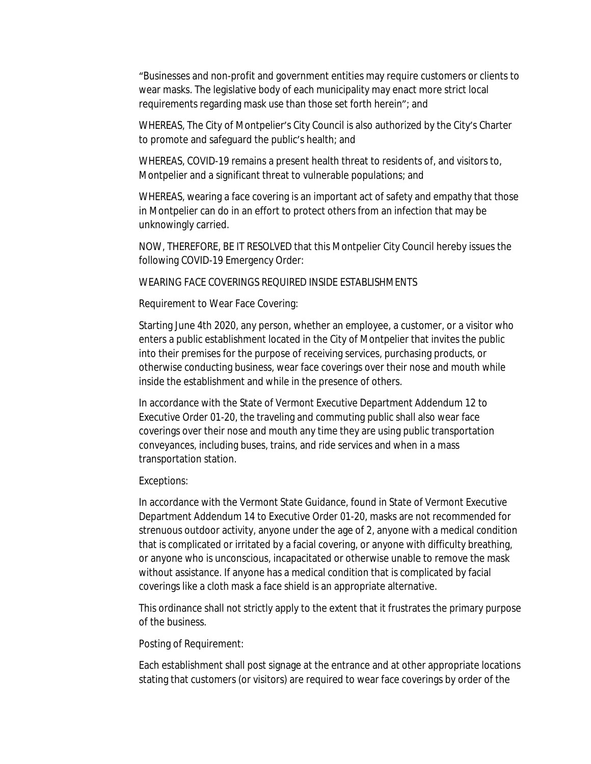"Businesses and non-profit and government entities may require customers or clients to wear masks. The legislative body of each municipality may enact more strict local requirements regarding mask use than those set forth herein"; and

WHEREAS, The City of Montpelier's City Council is also authorized by the City's Charter to promote and safeguard the public's health; and

WHEREAS, COVID-19 remains a present health threat to residents of, and visitors to, Montpelier and a significant threat to vulnerable populations; and

WHEREAS, wearing a face covering is an important act of safety and empathy that those in Montpelier can do in an effort to protect others from an infection that may be unknowingly carried.

NOW, THEREFORE, BE IT RESOLVED that this Montpelier City Council hereby issues the following COVID-19 Emergency Order:

WEARING FACE COVERINGS REQUIRED INSIDE ESTABLISHMENTS

Requirement to Wear Face Covering:

Starting June 4th 2020, any person, whether an employee, a customer, or a visitor who enters a public establishment located in the City of Montpelier that invites the public into their premises for the purpose of receiving services, purchasing products, or otherwise conducting business, wear face coverings over their nose and mouth while inside the establishment and while in the presence of others.

In accordance with the State of Vermont Executive Department Addendum 12 to Executive Order 01-20, the traveling and commuting public shall also wear face coverings over their nose and mouth any time they are using public transportation conveyances, including buses, trains, and ride services and when in a mass transportation station.

Exceptions:

In accordance with the Vermont State Guidance, found in State of Vermont Executive Department Addendum 14 to Executive Order 01-20, masks are not recommended for strenuous outdoor activity, anyone under the age of 2, anyone with a medical condition that is complicated or irritated by a facial covering, or anyone with difficulty breathing, or anyone who is unconscious, incapacitated or otherwise unable to remove the mask without assistance. If anyone has a medical condition that is complicated by facial coverings like a cloth mask a face shield is an appropriate alternative.

This ordinance shall not strictly apply to the extent that it frustrates the primary purpose of the business.

Posting of Requirement:

Each establishment shall post signage at the entrance and at other appropriate locations stating that customers (or visitors) are required to wear face coverings by order of the